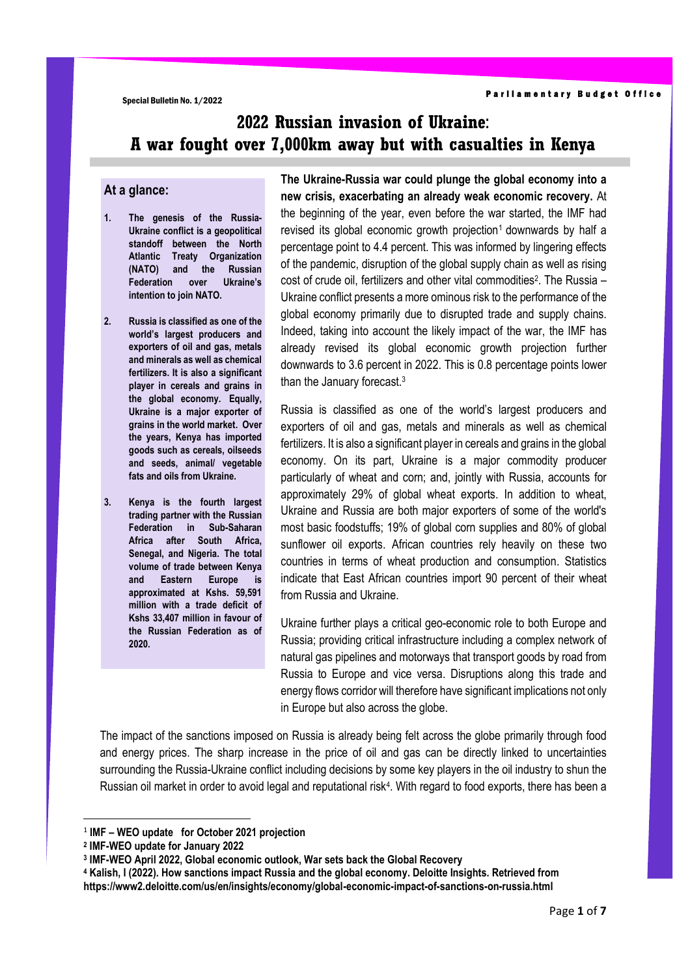# **2022 Russian invasion of Ukraine**: **A war fought over 7,000km away but with casualties in Kenya**

#### **At a glance:**

- **1. The genesis of the Russia-Ukraine conflict is a geopolitical standoff between the North Atlantic Treaty Organization (NATO) and the Russian Federation over Ukraine's intention to join NATO.**
- **2. Russia is classified as one of the world's largest producers and exporters of oil and gas, metals and minerals as well as chemical fertilizers. It is also a significant player in cereals and grains in the global economy. Equally, Ukraine is a major exporter of grains in the world market. Over the years, Kenya has imported goods such as cereals, oilseeds and seeds, animal/ vegetable fats and oils from Ukraine.**
- **3. Kenya is the fourth largest trading partner with the Russian Federation in Sub-Saharan Africa after South Africa, Senegal, and Nigeria. The total volume of trade between Kenya and Eastern Europe is approximated at Kshs. 59,591 million with a trade deficit of Kshs 33,407 million in favour of the Russian Federation as of 2020.**

**The Ukraine-Russia war could plunge the global economy into a new crisis, exacerbating an already weak economic recovery.** At the beginning of the year, even before the war started, the IMF had revised its global economic growth projection<sup>1</sup> downwards by half a percentage point to 4.4 percent. This was informed by lingering effects of the pandemic, disruption of the global supply chain as well as rising cost of crude oil, fertilizers and other vital commodities<sup>2</sup>. The Russia – Ukraine conflict presents a more ominous risk to the performance of the global economy primarily due to disrupted trade and supply chains. Indeed, taking into account the likely impact of the war, the IMF has already revised its global economic growth projection further downwards to 3.6 percent in 2022. This is 0.8 percentage points lower than the January forecast.<sup>3</sup>

Russia is classified as one of the world's largest producers and exporters of oil and gas, metals and minerals as well as chemical fertilizers. It is also a significant player in cereals and grains in the global economy. On its part, Ukraine is a major commodity producer particularly of wheat and corn; and, jointly with Russia, accounts for approximately 29% of global wheat exports. In addition to wheat, Ukraine and Russia are both major exporters of some of the world's most basic foodstuffs; 19% of global corn supplies and 80% of global sunflower oil exports. African countries rely heavily on these two countries in terms of wheat production and consumption. Statistics indicate that East African countries import 90 percent of their wheat from Russia and Ukraine.

Ukraine further plays a critical geo-economic role to both Europe and Russia; providing critical infrastructure including a complex network of natural gas pipelines and motorways that transport goods by road from Russia to Europe and vice versa. Disruptions along this trade and energy flows corridor will therefore have significant implications not only in Europe but also across the globe.

The impact of the sanctions imposed on Russia is already being felt across the globe primarily through food and energy prices. The sharp increase in the price of oil and gas can be directly linked to uncertainties surrounding the Russia-Ukraine conflict including decisions by some key players in the oil industry to shun the Russian oil market in order to avoid legal and reputational risk<sup>4</sup>. With regard to food exports, there has been a

**<sup>4</sup> Kalish, I (2022). How sanctions impact Russia and the global economy. Deloitte Insights. Retrieved from https://www2.deloitte.com/us/en/insights/economy/global-economic-impact-of-sanctions-on-russia.html**

<sup>1</sup> **IMF – WEO update for October 2021 projection**

**<sup>2</sup> IMF-WEO update for January 2022** 

**<sup>3</sup> IMF-WEO April 2022, Global economic outlook, War sets back the Global Recovery**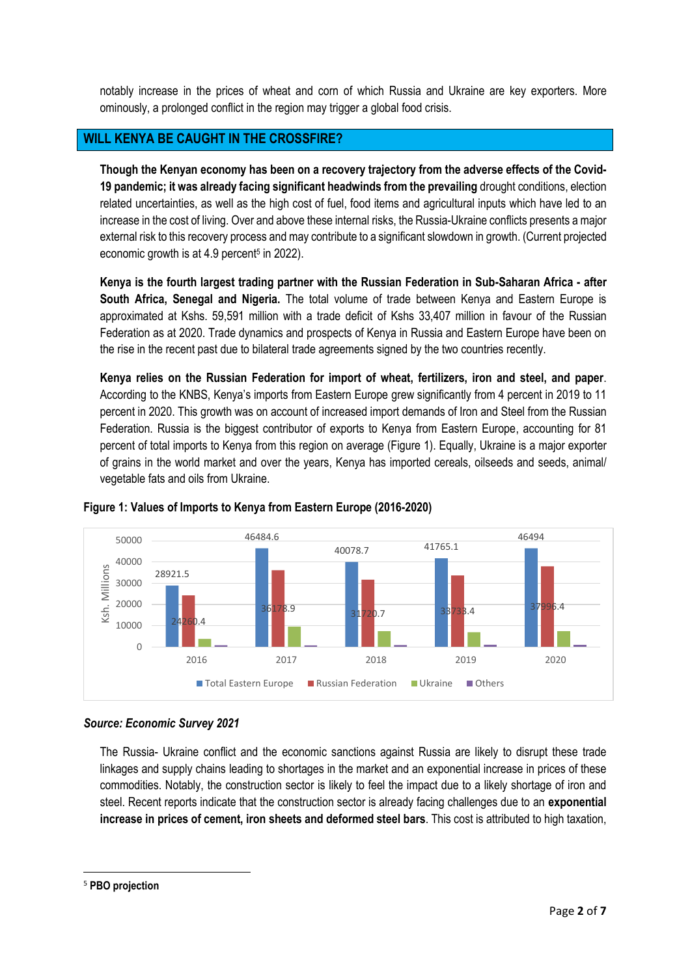notably increase in the prices of wheat and corn of which Russia and Ukraine are key exporters. More ominously, a prolonged conflict in the region may trigger a global food crisis.

## **WILL KENYA BE CAUGHT IN THE CROSSFIRE?**

**Though the Kenyan economy has been on a recovery trajectory from the adverse effects of the Covid-19 pandemic; it was already facing significant headwinds from the prevailing** drought conditions, election related uncertainties, as well as the high cost of fuel, food items and agricultural inputs which have led to an increase in the cost of living. Over and above these internal risks, the Russia-Ukraine conflicts presents a major external risk to this recovery process and may contribute to a significant slowdown in growth. (Current projected economic growth is at 4.9 percent<sup>5</sup> in 2022).

**Kenya is the fourth largest trading partner with the Russian Federation in Sub-Saharan Africa - after South Africa, Senegal and Nigeria.** The total volume of trade between Kenya and Eastern Europe is approximated at Kshs. 59,591 million with a trade deficit of Kshs 33,407 million in favour of the Russian Federation as at 2020. Trade dynamics and prospects of Kenya in Russia and Eastern Europe have been on the rise in the recent past due to bilateral trade agreements signed by the two countries recently.

**Kenya relies on the Russian Federation for import of wheat, fertilizers, iron and steel, and paper**. According to the KNBS, Kenya's imports from Eastern Europe grew significantly from 4 percent in 2019 to 11 percent in 2020. This growth was on account of increased import demands of Iron and Steel from the Russian Federation. Russia is the biggest contributor of exports to Kenya from Eastern Europe, accounting for 81 percent of total imports to Kenya from this region on average (Figure 1). Equally, Ukraine is a major exporter of grains in the world market and over the years, Kenya has imported cereals, oilseeds and seeds, animal/ vegetable fats and oils from Ukraine.



## **Figure 1: Values of Imports to Kenya from Eastern Europe (2016-2020)**

## *Source: Economic Survey 2021*

The Russia- Ukraine conflict and the economic sanctions against Russia are likely to disrupt these trade linkages and supply chains leading to shortages in the market and an exponential increase in prices of these commodities. Notably, the construction sector is likely to feel the impact due to a likely shortage of iron and steel. Recent reports indicate that the construction sector is already facing challenges due to an **exponential increase in prices of cement, iron sheets and deformed steel bars**. This cost is attributed to high taxation,

<sup>5</sup> **PBO projection**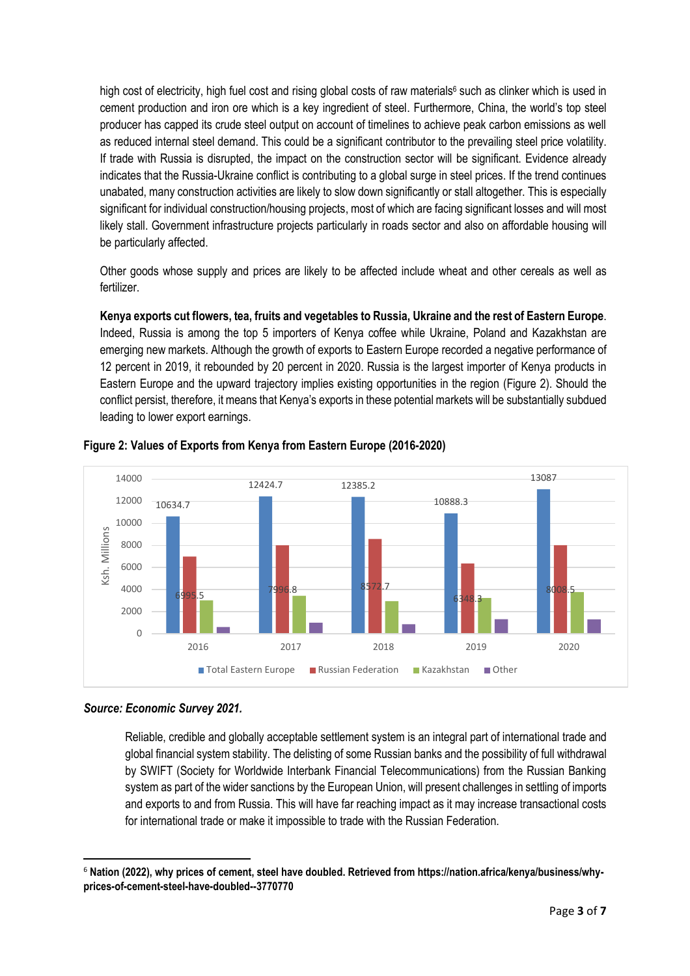high cost of electricity, high fuel cost and rising global costs of raw materials<sup>6</sup> such as clinker which is used in cement production and iron ore which is a key ingredient of steel. Furthermore, China, the world's top steel producer has capped its crude steel output on account of timelines to achieve peak carbon emissions as well as reduced internal steel demand. This could be a significant contributor to the prevailing steel price volatility. If trade with Russia is disrupted, the impact on the construction sector will be significant. Evidence already indicates that the Russia-Ukraine conflict is contributing to a global surge in steel prices. If the trend continues unabated, many construction activities are likely to slow down significantly or stall altogether. This is especially significant for individual construction/housing projects, most of which are facing significant losses and will most likely stall. Government infrastructure projects particularly in roads sector and also on affordable housing will be particularly affected.

Other goods whose supply and prices are likely to be affected include wheat and other cereals as well as fertilizer.

**Kenya exports cut flowers, tea, fruits and vegetables to Russia, Ukraine and the rest of Eastern Europe**. Indeed, Russia is among the top 5 importers of Kenya coffee while Ukraine, Poland and Kazakhstan are emerging new markets. Although the growth of exports to Eastern Europe recorded a negative performance of 12 percent in 2019, it rebounded by 20 percent in 2020. Russia is the largest importer of Kenya products in Eastern Europe and the upward trajectory implies existing opportunities in the region (Figure 2). Should the conflict persist, therefore, it means that Kenya's exports in these potential markets will be substantially subdued leading to lower export earnings.



**Figure 2: Values of Exports from Kenya from Eastern Europe (2016-2020)**

Reliable, credible and globally acceptable settlement system is an integral part of international trade and global financial system stability. The delisting of some Russian banks and the possibility of full withdrawal by SWIFT (Society for Worldwide Interbank Financial Telecommunications) from the Russian Banking system as part of the wider sanctions by the European Union, will present challenges in settling of imports and exports to and from Russia. This will have far reaching impact as it may increase transactional costs for international trade or make it impossible to trade with the Russian Federation.

*Source: Economic Survey 2021.*

<sup>6</sup> **Nation (2022), why prices of cement, steel have doubled. Retrieved from https://nation.africa/kenya/business/whyprices-of-cement-steel-have-doubled--3770770**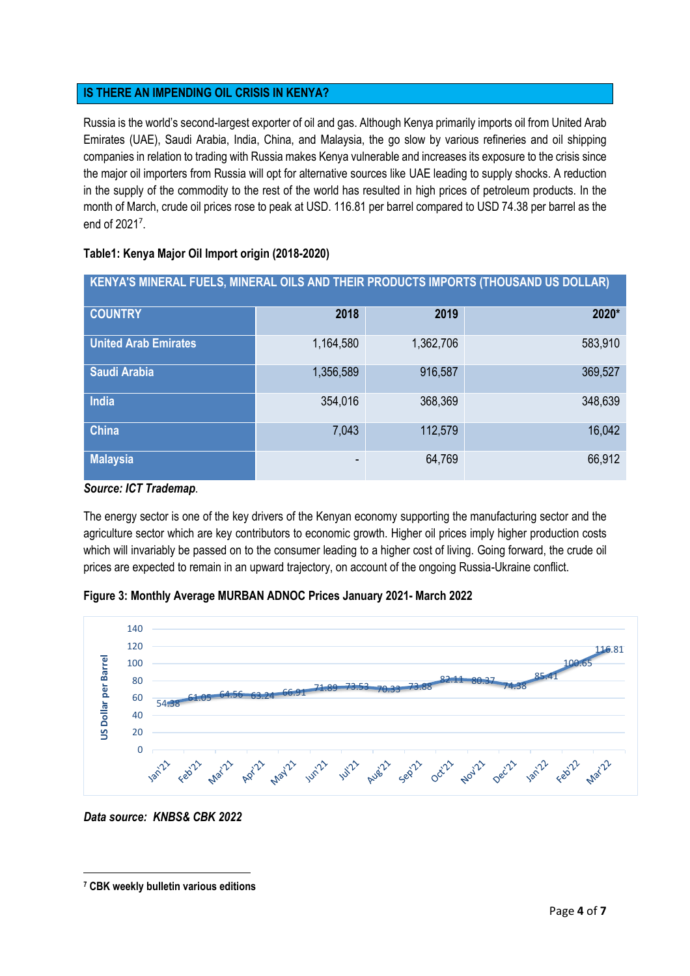## **IS THERE AN IMPENDING OIL CRISIS IN KENYA?**

Russia is the world's second-largest exporter of oil and gas. Although Kenya primarily imports oil from United Arab Emirates (UAE), Saudi Arabia, India, China, and Malaysia, the go slow by various refineries and oil shipping companies in relation to trading with Russia makes Kenya vulnerable and increases its exposure to the crisis since the major oil importers from Russia will opt for alternative sources like UAE leading to supply shocks. A reduction in the supply of the commodity to the rest of the world has resulted in high prices of petroleum products. In the month of March, crude oil prices rose to peak at USD. 116.81 per barrel compared to USD 74.38 per barrel as the end of 2021<sup>7</sup> .

**KENYA'S MINERAL FUELS, MINERAL OILS AND THEIR PRODUCTS IMPORTS (THOUSAND US DOLLAR)** 

| <b>COUNTRY</b>              | 2018      | 2019      | 2020*   |
|-----------------------------|-----------|-----------|---------|
| <b>United Arab Emirates</b> | 1,164,580 | 1,362,706 | 583,910 |
| Saudi Arabia                | 1,356,589 | 916,587   | 369,527 |
| India                       | 354,016   | 368,369   | 348,639 |
| <b>China</b>                | 7,043     | 112,579   | 16,042  |
| <b>Malaysia</b>             | ۰         | 64,769    | 66,912  |

#### **Table1: Kenya Major Oil Import origin (2018-2020)**

*Source: ICT Trademap*.

The energy sector is one of the key drivers of the Kenyan economy supporting the manufacturing sector and the agriculture sector which are key contributors to economic growth. Higher oil prices imply higher production costs which will invariably be passed on to the consumer leading to a higher cost of living. Going forward, the crude oil prices are expected to remain in an upward trajectory, on account of the ongoing Russia-Ukraine conflict.





*Data source: KNBS& CBK 2022*

**<sup>7</sup> CBK weekly bulletin various editions**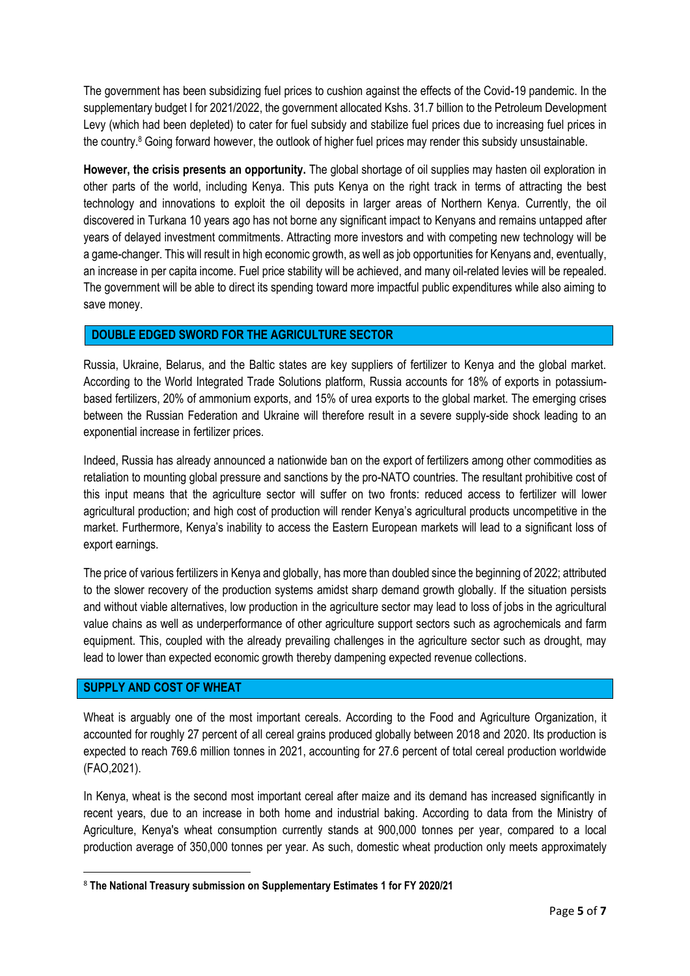The government has been subsidizing fuel prices to cushion against the effects of the Covid-19 pandemic. In the supplementary budget I for 2021/2022, the government allocated Kshs. 31.7 billion to the Petroleum Development Levy (which had been depleted) to cater for fuel subsidy and stabilize fuel prices due to increasing fuel prices in the country.<sup>8</sup> Going forward however, the outlook of higher fuel prices may render this subsidy unsustainable.

**However, the crisis presents an opportunity.** The global shortage of oil supplies may hasten oil exploration in other parts of the world, including Kenya. This puts Kenya on the right track in terms of attracting the best technology and innovations to exploit the oil deposits in larger areas of Northern Kenya. Currently, the oil discovered in Turkana 10 years ago has not borne any significant impact to Kenyans and remains untapped after years of delayed investment commitments. Attracting more investors and with competing new technology will be a game-changer. This will result in high economic growth, as well as job opportunities for Kenyans and, eventually, an increase in per capita income. Fuel price stability will be achieved, and many oil-related levies will be repealed. The government will be able to direct its spending toward more impactful public expenditures while also aiming to save money.

## **DOUBLE EDGED SWORD FOR THE AGRICULTURE SECTOR**

Russia, Ukraine, Belarus, and the Baltic states are key suppliers of fertilizer to Kenya and the global market. According to the World Integrated Trade Solutions platform, Russia accounts for 18% of exports in potassiumbased fertilizers, 20% of ammonium exports, and 15% of urea exports to the global market. The emerging crises between the Russian Federation and Ukraine will therefore result in a severe supply-side shock leading to an exponential increase in fertilizer prices.

Indeed, Russia has already announced a nationwide ban on the export of fertilizers among other commodities as retaliation to mounting global pressure and sanctions by the pro-NATO countries. The resultant prohibitive cost of this input means that the agriculture sector will suffer on two fronts: reduced access to fertilizer will lower agricultural production; and high cost of production will render Kenya's agricultural products uncompetitive in the market. Furthermore, Kenya's inability to access the Eastern European markets will lead to a significant loss of export earnings.

The price of various fertilizers in Kenya and globally, has more than doubled since the beginning of 2022; attributed to the slower recovery of the production systems amidst sharp demand growth globally. If the situation persists and without viable alternatives, low production in the agriculture sector may lead to loss of jobs in the agricultural value chains as well as underperformance of other agriculture support sectors such as agrochemicals and farm equipment. This, coupled with the already prevailing challenges in the agriculture sector such as drought, may lead to lower than expected economic growth thereby dampening expected revenue collections.

## **SUPPLY AND COST OF WHEAT**

Wheat is arguably one of the most important cereals. According to the Food and Agriculture Organization, it accounted for roughly 27 percent of all cereal grains produced globally between 2018 and 2020. Its production is expected to reach 769.6 million tonnes in 2021, accounting for 27.6 percent of total cereal production worldwide (FAO,2021).

In Kenya, wheat is the second most important cereal after maize and its demand has increased significantly in recent years, due to an increase in both home and industrial baking. According to data from the Ministry of Agriculture, Kenya's wheat consumption currently stands at 900,000 tonnes per year, compared to a local production average of 350,000 tonnes per year. As such, domestic wheat production only meets approximately

<sup>8</sup> **The National Treasury submission on Supplementary Estimates 1 for FY 2020/21**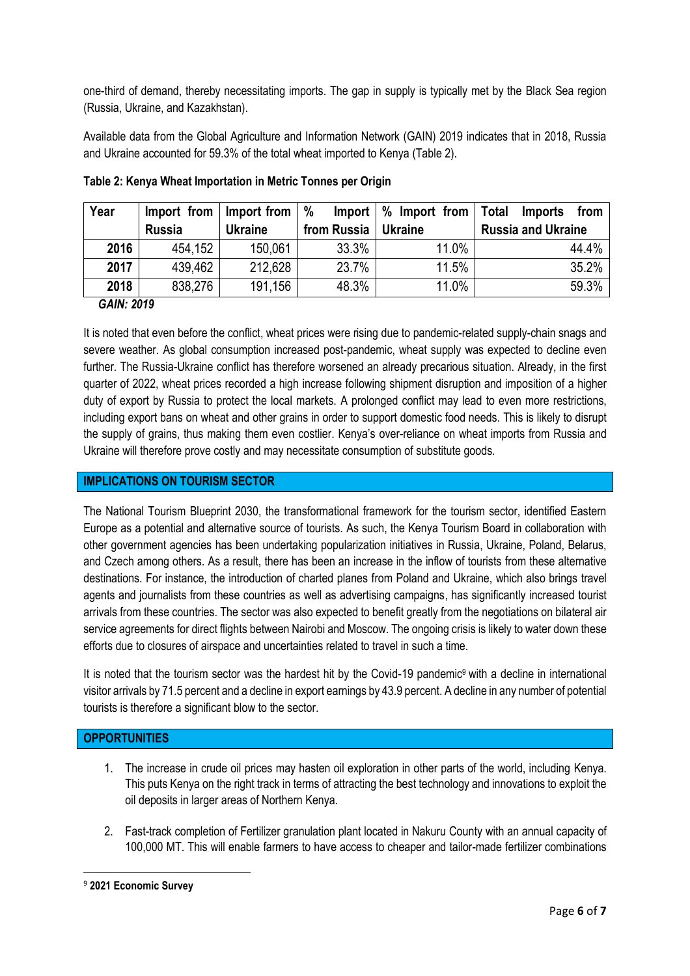one-third of demand, thereby necessitating imports. The gap in supply is typically met by the Black Sea region (Russia, Ukraine, and Kazakhstan).

Available data from the Global Agriculture and Information Network (GAIN) 2019 indicates that in 2018, Russia and Ukraine accounted for 59.3% of the total wheat imported to Kenya (Table 2).

| Year |               | Import from $\vert$ Import from $\vert \%$ |                       | Import $\frac{1}{2}$ M Import from $\frac{1}{2}$ | Total<br>Imports<br>from  |
|------|---------------|--------------------------------------------|-----------------------|--------------------------------------------------|---------------------------|
|      | <b>Russia</b> | <b>Ukraine</b>                             | from Russia   Ukraine |                                                  | <b>Russia and Ukraine</b> |
| 2016 | 454,152       | 150,061                                    | 33.3%                 | 11.0%                                            | 44.4%                     |
| 2017 | 439,462       | 212,628                                    | 23.7%                 | 11.5%                                            | 35.2%                     |
| 2018 | 838,276       | 191,156                                    | 48.3%                 | 11.0%                                            | 59.3%                     |

**Table 2: Kenya Wheat Importation in Metric Tonnes per Origin** 

#### *GAIN: 2019*

It is noted that even before the conflict, wheat prices were rising due to pandemic-related supply-chain snags and severe weather. As global consumption increased post-pandemic, wheat supply was expected to decline even further. The Russia-Ukraine conflict has therefore worsened an already precarious situation. Already, in the first quarter of 2022, wheat prices recorded a high increase following shipment disruption and imposition of a higher duty of export by Russia to protect the local markets. A prolonged conflict may lead to even more restrictions, including export bans on wheat and other grains in order to support domestic food needs. This is likely to disrupt the supply of grains, thus making them even costlier. Kenya's over-reliance on wheat imports from Russia and Ukraine will therefore prove costly and may necessitate consumption of substitute goods.

## **IMPLICATIONS ON TOURISM SECTOR**

The National Tourism Blueprint 2030, the transformational framework for the tourism sector, identified Eastern Europe as a potential and alternative source of tourists. As such, the Kenya Tourism Board in collaboration with other government agencies has been undertaking popularization initiatives in Russia, Ukraine, Poland, Belarus, and Czech among others. As a result, there has been an increase in the inflow of tourists from these alternative destinations. For instance, the introduction of charted planes from Poland and Ukraine, which also brings travel agents and journalists from these countries as well as advertising campaigns, has significantly increased tourist arrivals from these countries. The sector was also expected to benefit greatly from the negotiations on bilateral air service agreements for direct flights between Nairobi and Moscow. The ongoing crisis is likely to water down these efforts due to closures of airspace and uncertainties related to travel in such a time.

It is noted that the tourism sector was the hardest hit by the Covid-19 pandemic<sup>9</sup> with a decline in international visitor arrivals by 71.5 percent and a decline in export earnings by 43.9 percent. A decline in any number of potential tourists is therefore a significant blow to the sector.

## **OPPORTUNITIES**

- 1. The increase in crude oil prices may hasten oil exploration in other parts of the world, including Kenya. This puts Kenya on the right track in terms of attracting the best technology and innovations to exploit the oil deposits in larger areas of Northern Kenya.
- 2. Fast-track completion of Fertilizer granulation plant located in Nakuru County with an annual capacity of 100,000 MT. This will enable farmers to have access to cheaper and tailor-made fertilizer combinations

<sup>9</sup> **2021 Economic Survey**